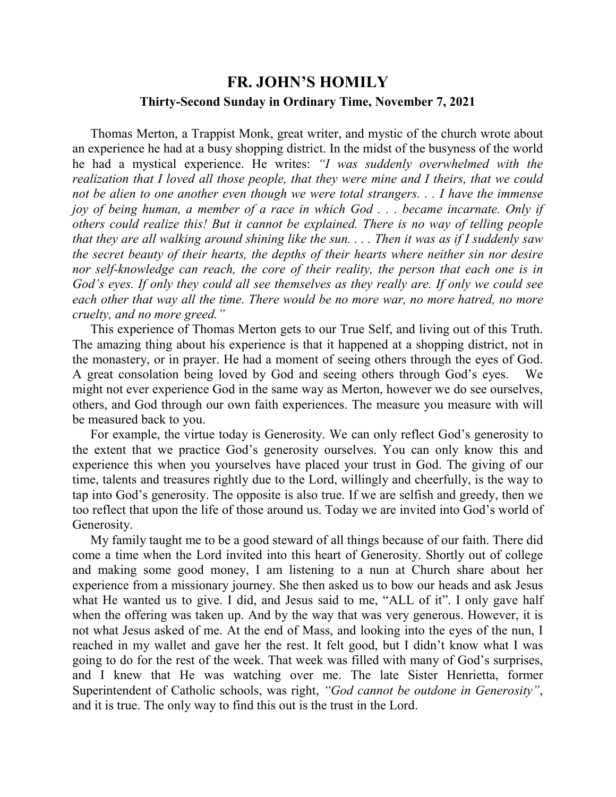## **FR. JOHN'S HOMILY Thirty-Second Sunday in Ordinary Time, November 7, 2021**

 Thomas Merton, a Trappist Monk, great writer, and mystic of the church wrote about an experience he had at a busy shopping district. In the midst of the busyness of the world he had a mystical experience. He writes: *"I was suddenly overwhelmed with the realization that I loved all those people, that they were mine and I theirs, that we could not be alien to one another even though we were total strangers. . . I have the immense joy of being human, a member of a race in which God . . . became incarnate. Only if others could realize this! But it cannot be explained. There is no way of telling people that they are all walking around shining like the sun. . . . Then it was as if I suddenly saw the secret beauty of their hearts, the depths of their hearts where neither sin nor desire nor self-knowledge can reach, the core of their reality, the person that each one is in God's eyes. If only they could all see themselves as they really are. If only we could see each other that way all the time. There would be no more war, no more hatred, no more cruelty, and no more greed."*

 This experience of Thomas Merton gets to our True Self, and living out of this Truth. The amazing thing about his experience is that it happened at a shopping district, not in the monastery, or in prayer. He had a moment of seeing others through the eyes of God. A great consolation being loved by God and seeing others through God's eyes. We might not ever experience God in the same way as Merton, however we do see ourselves, others, and God through our own faith experiences. The measure you measure with will be measured back to you.

 For example, the virtue today is Generosity. We can only reflect God's generosity to the extent that we practice God's generosity ourselves. You can only know this and experience this when you yourselves have placed your trust in God. The giving of our time, talents and treasures rightly due to the Lord, willingly and cheerfully, is the way to tap into God's generosity. The opposite is also true. If we are selfish and greedy, then we too reflect that upon the life of those around us. Today we are invited into God's world of Generosity.

 My family taught me to be a good steward of all things because of our faith. There did come a time when the Lord invited into this heart of Generosity. Shortly out of college and making some good money, I am listening to a nun at Church share about her experience from a missionary journey. She then asked us to bow our heads and ask Jesus what He wanted us to give. I did, and Jesus said to me, "ALL of it". I only gave half when the offering was taken up. And by the way that was very generous. However, it is not what Jesus asked of me. At the end of Mass, and looking into the eyes of the nun, I reached in my wallet and gave her the rest. It felt good, but I didn't know what I was going to do for the rest of the week. That week was filled with many of God's surprises, and I knew that He was watching over me. The late Sister Henrietta, former Superintendent of Catholic schools, was right, *"God cannot be outdone in Generosity"*, and it is true. The only way to find this out is the trust in the Lord.